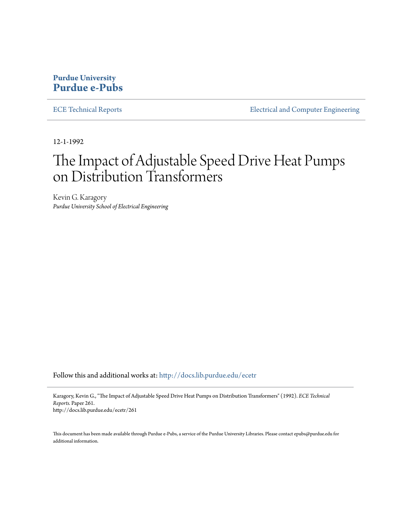## **Purdue University [Purdue e-Pubs](http://docs.lib.purdue.edu?utm_source=docs.lib.purdue.edu%2Fecetr%2F261&utm_medium=PDF&utm_campaign=PDFCoverPages)**

[ECE Technical Reports](http://docs.lib.purdue.edu/ecetr?utm_source=docs.lib.purdue.edu%2Fecetr%2F261&utm_medium=PDF&utm_campaign=PDFCoverPages) **[Electrical and Computer Engineering](http://docs.lib.purdue.edu/ece?utm_source=docs.lib.purdue.edu%2Fecetr%2F261&utm_medium=PDF&utm_campaign=PDFCoverPages)** 

12-1-1992

# The Impact of Adjustable Speed Drive Heat Pumps on Distribution Transformers

Kevin G. Karagory *Purdue University School of Electrical Engineering*

Follow this and additional works at: [http://docs.lib.purdue.edu/ecetr](http://docs.lib.purdue.edu/ecetr?utm_source=docs.lib.purdue.edu%2Fecetr%2F261&utm_medium=PDF&utm_campaign=PDFCoverPages)

Karagory, Kevin G., "The Impact of Adjustable Speed Drive Heat Pumps on Distribution Transformers" (1992). *ECE Technical Reports.* Paper 261. http://docs.lib.purdue.edu/ecetr/261

This document has been made available through Purdue e-Pubs, a service of the Purdue University Libraries. Please contact epubs@purdue.edu for additional information.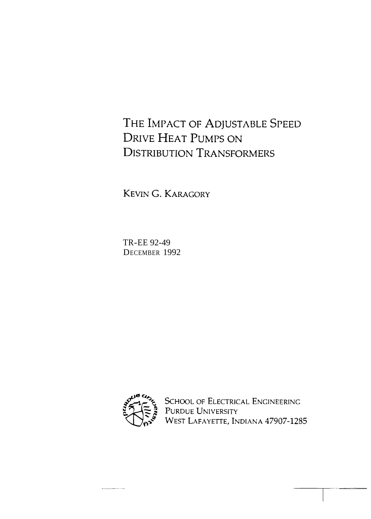# THE IMPACT OF ADJUSTABLE SPEED **DRIVE HEAT PUMPS ON DISTRIBUTION TRANSFORMERS**

KEVIN G. KARAGORY

TR-EE 92-49 DECEMBER 1992



---------

SCHOOL OF ELECTRICAL ENGINEERING PURDUE UNIVERSITY<br>WEST LAFAYETTE, INDIANA 47907-1285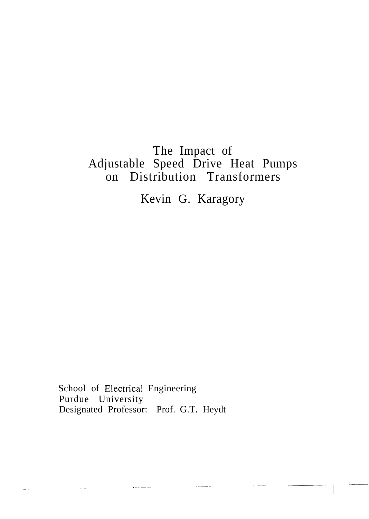# The Impact of Adjustable Speed Drive Heat Pumps on Distribution Transformers

Kevin G. Karagory

School of Electrical Engineering Purdue University Designated Professor: Prof. G.T. Heydt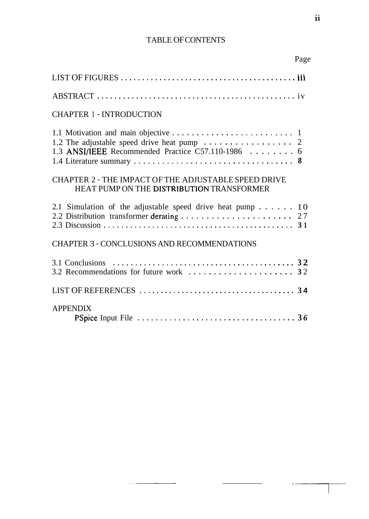## TABLE OF CONTENTS

|                                                                                                          | Page |
|----------------------------------------------------------------------------------------------------------|------|
|                                                                                                          |      |
|                                                                                                          |      |
| <b>CHAPTER 1 - INTRODUCTION</b>                                                                          |      |
| 1.3 ANSI/IEEE Recommended Practice C57.110-1986 6                                                        |      |
| <b>CHAPTER 2 - THE IMPACT OF THE ADJUSTABLE SPEED DRIVE</b><br>HEAT PUMP ON THE DISTRIBUTION TRANSFORMER |      |
| 2.1 Simulation of the adjustable speed drive heat pump 10                                                |      |
| <b>CHAPTER 3 - CONCLUSIONS AND RECOMMENDATIONS</b>                                                       |      |
| 3.1 Conclusions                                                                                          |      |
|                                                                                                          |      |
| <b>APPENDIX</b>                                                                                          |      |

 $\sim$   $\sim$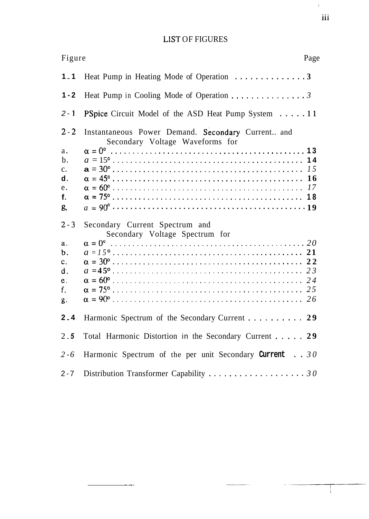## LIST OF FIGURES

| Figure                                                                                | Page                                                                                 |
|---------------------------------------------------------------------------------------|--------------------------------------------------------------------------------------|
| $1 - 1$                                                                               |                                                                                      |
| $1 - 2$                                                                               | Heat Pump in Cooling Mode of Operation 3                                             |
| $2 - 1$                                                                               | <b>PSpice</b> Circuit Model of the ASD Heat Pump System 11                           |
| $2 - 2$<br>$a$ .<br>$\mathbf b$ .<br>$C_{\bullet}$<br>$\mathbf d$ .<br>e.<br>f.<br>g. | Instantaneous Power Demand. Secondary Current and<br>Secondary Voltage Waveforms for |
| $2 - 3$                                                                               | Secondary Current Spectrum and<br>Secondary Voltage Spectrum for                     |
| $a$ .<br>$b$ .<br>$\mathbf{c}$ .<br>d.<br>e.<br>f.<br>g.                              |                                                                                      |
| 2.4                                                                                   | Harmonic Spectrum of the Secondary Current 29                                        |
| $2 - 5$                                                                               | Total Harmonic Distortion in the Secondary Current 29                                |
| $2 - 6$                                                                               | Harmonic Spectrum of the per unit Secondary Current $\ldots$ 30                      |
| $2 - 7$                                                                               | Distribution Transformer Capability $\ldots \ldots \ldots \ldots \ldots \ldots 30$   |

 $\overline{a}$ 

iii

 $\bar{W}$  .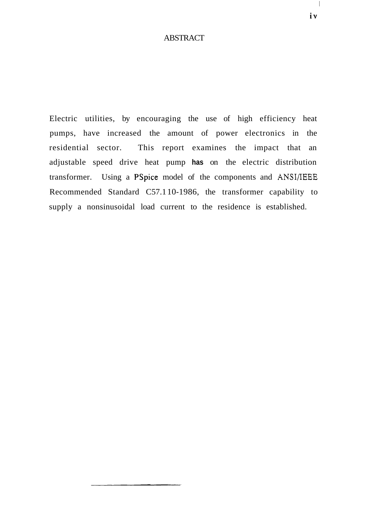## **ABSTRACT**

Electric utilities, by encouraging the use of high efficiency heat pumps, have increased the amount of power electronics in the residential sector. This report examines the impact that an adjustable speed drive heat pump **has** on the electric distribution transformer. Using a PSpice model of the components and ANSI/IEEE Recommended Standard C57.1 10-1986, the transformer capability to supply a nonsinusoidal load current to the residence is established.

 $\mathcal{L}$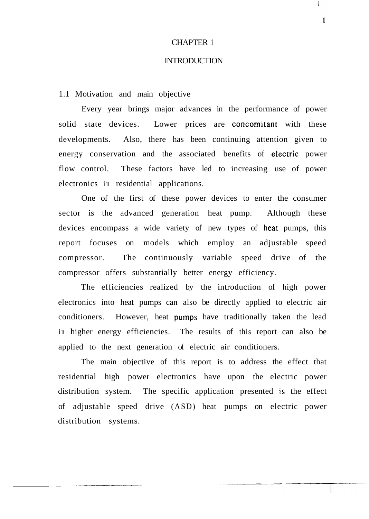#### CHAPTER 1

#### INTRODUCTION

1.1 Motivation and main objective

Every year brings major advances in the performance of power solid state devices. Lower prices are concomitant with these developments. Also, there has been continuing attention given to energy conservation and the associated benefits of electric power flow control. These factors have led to increasing use of power electronics in residential applications.

One of the first of these power devices to enter the consumer sector is the advanced generation heat pump. Although these devices encompass a wide variety of new types of heat pumps, this report focuses on models which employ an adjustable speed compressor. The continuously variable speed drive of the compressor offers substantially better energy efficiency.

The efficiencies realized by the introduction of high power electronics into heat pumps can also be directly applied to electric air conditioners. However, heat pumps have traditionally taken the lead in higher energy efficiencies. The results of this report can also be applied to the next generation of electric air conditioners.

The main objective of this report is to address the effect that residential high power electronics have upon the electric power distribution system. The specific application presented is the effect of adjustable speed drive (ASD) heat pumps on electric power distribution systems.

 $\mathbf{1}$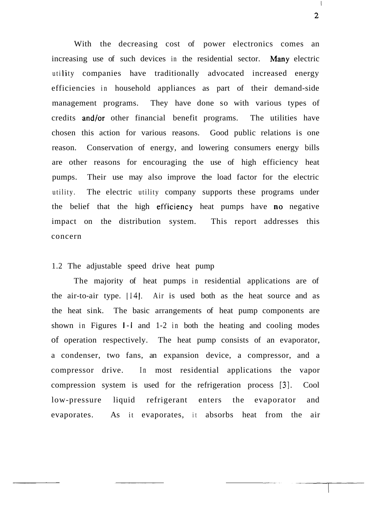With the decreasing cost of power electronics comes an increasing use of such devices in the residential sector. Many electric utility companies have traditionally advocated increased energy efficiencies in household appliances as part of their demand-side management programs. They have done so with various types of credits and/or other financial benefit programs. The utilities have chosen this action for various reasons. Good public relations is one reason. Conservation of energy, and lowering consumers energy bills are other reasons for encouraging the use of high efficiency heat pumps. Their use may also improve the load factor for the electric utility. The electric utility company supports these programs under the belief that the high efficiency heat pumps have no negative impact on the distribution system. This report addresses this concern

## 1.2 The adjustable speed drive heat pump

The majority of heat pumps in residential applications are of the air-to-air type.  $[14]$ . Air is used both as the heat source and as the heat sink. The basic arrangements of heat pump components are shown in Figures 1-1 and 1-2 in both the heating and cooling modes of operation respectively. The heat pump consists of an evaporator, a condenser, two fans, an expansion device, a compressor, and a compressor drive. In most residential applications the vapor compression system is used for the refrigeration process **[3].** Cool low-pressure liquid refrigerant enters the evaporator and evaporates. As it evaporates, it absorbs heat from the air

 $\overline{2}$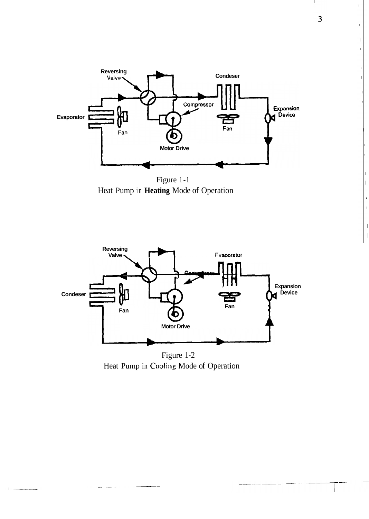

Heat Pump in **Heating** Mode of Operation



Heat Pump in Cooling Mode of Operation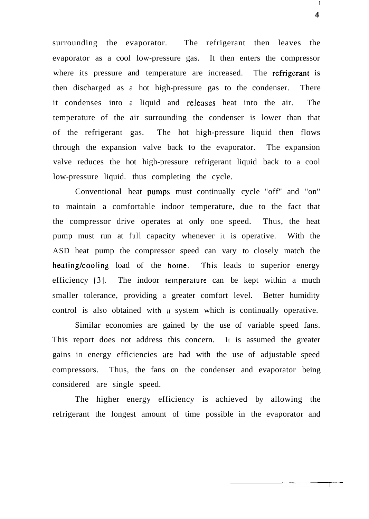surrounding the evaporator. The refrigerant then leaves the evaporator as a cool low-pressure gas. It then enters the compressor where its pressure and temperature are increased. The refrigerant is then discharged as a hot high-pressure gas to the condenser. There it condenses into a liquid and releases heat into the air. The temperature of the air surrounding the condenser is lower than that of the refrigerant gas. The hot high-pressure liquid then flows through the expansion valve back to the evaporator. The expansion valve reduces the hot high-pressure refrigerant liquid back to a cool low-pressure liquid. thus completing the cycle.

Conventional heat pumps must continually cycle "off" and "on" to maintain a comfortable indoor temperature, due to the fact that the compressor drive operates at only one speed. Thus, the heat pump must run at full capacity whenever it is operative. With the ASD heat pump the compressor speed can vary to closely match the heating/cooling load of the home. This leads to superior energy efficiency [3]. The indoor temperature can be kept within a much smaller tolerance, providing a greater comfort level. Better humidity control is also obtained with a system which is continually operative.

Similar economies are gained by the use of variable speed fans. This report does not address this concern. It is assumed the greater gains in energy efficiencies are had with the use of adjustable speed compressors. Thus, the fans on the condenser and evaporator being considered are single speed.

The higher energy efficiency is achieved by allowing the refrigerant the longest amount of time possible in the evaporator and

 $\,$   $\,$   $\,$  $\overline{4}$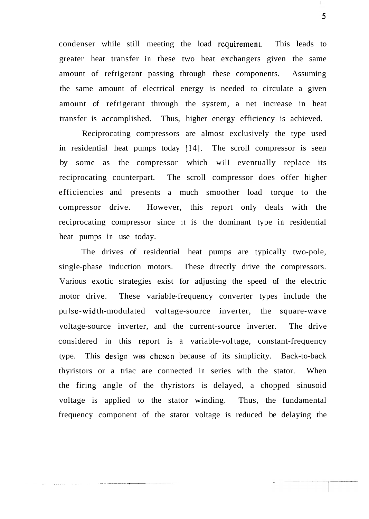condenser while still meeting the load requirement. This leads to greater heat transfer in these two heat exchangers given the same amount of refrigerant passing through these components. Assuming the same amount of electrical energy is needed to circulate a given amount of refrigerant through the system, a net increase in heat transfer is accomplished. Thus, higher energy efficiency is achieved.

Reciprocating compressors are almost exclusively the type used in residential heat pumps today **1141.** The scroll compressor is seen by some as the compressor which will eventually replace its reciprocating counterpart. The scroll compressor does offer higher efficiencies and presents a much smoother load torque to the compressor drive. However, this report only deals with the reciprocating compressor since it is the dominant type in residential heat pumps in use today.

The drives of residential heat pumps are typically two-pole, single-phase induction motors. These directly drive the compressors. Various exotic strategies exist for adjusting the speed of the electric motor drive. These variable-frequency converter types include the pu lse-wid th-modulated vol tage-source inverter, the square-wave voltage-source inverter, and the current-source inverter. The drive considered in this report is a variable-vol tage, constant-frequency type. This design was chosen because of its simplicity. Back-to-back thyristors or a triac are connected in series with the stator. When the firing angle of the thyristors is delayed, a chopped sinusoid voltage is applied to the stator winding. Thus, the fundamental frequency component of the stator voltage is reduced be delaying the

5

 $\mathsf{L}% _{0}\left( \mathcal{N}\right)$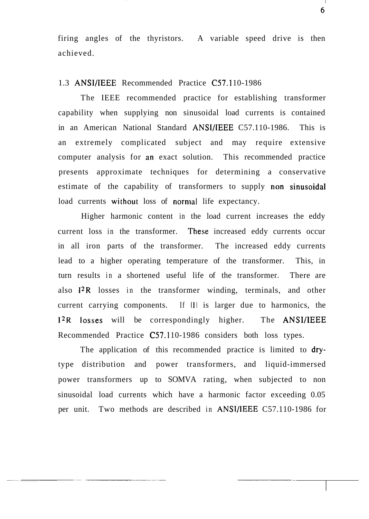firing angles of the thyristors. A variable speed drive is then achieved.

## 1.3 ANSI/IEEE Recommended Practice C57.110-1986

The IEEE recommended practice for establishing transformer capability when supplying non sinusoidal load currents is contained in an American National Standard ANSI/IEEE C57.110-1986. This is an extremely complicated subject and may require extensive computer analysis for an exact solution. This recommended practice presents approximate techniques for determining a conservative estimate of the capability of transformers to supply non sinusoidal load currents without loss of normal life expectancy.

Higher harmonic content in the load current increases the eddy current loss in the transformer. These increased eddy currents occur in all iron parts of the transformer. The increased eddy currents lead to a higher operating temperature of the transformer. This, in turn results in a shortened useful life of the transformer. There are also I2R losses in the transformer winding, terminals, and other current carrying components. If Ill is larger due to harmonics, the 1<sup>2</sup>R losses will be correspondingly higher. The ANSI/IEEE Recommended Practice C57.110-1986 considers both loss types.

The application of this recommended practice is limited to drytype distribution and power transformers, and liquid-immersed power transformers up to SOMVA rating, when subjected to non sinusoidal load currents which have a harmonic factor exceeding 0.05 per unit. Two methods are described in ANSI/IEEE C57.110-1986 for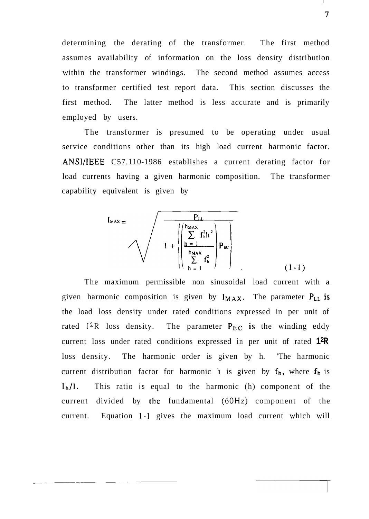determining the derating of the transformer. The first method assumes availability of information on the loss density distribution within the transformer windings. The second method assumes access to transformer certified test report data. This section discusses the first method. The latter method is less accurate and is primarily employed by users.

The transformer is presumed to be operating under usual service conditions other than its high load current harmonic factor. **ANSI/IEEE** C57.110-1986 establishes a current derating factor for load currents having a given harmonic composition. The transformer capability equivalent is given by

$$
I_{\text{MAX}} = \sqrt{1 + \sqrt{\frac{P_{\text{LL}}}{\sum_{h=1}^{h_{\text{MAX}}} f_{\text{h}}^{2} P_{\text{EC}}}}}
$$

The maximum permissible non sinusoidal load current with a given harmonic composition is given by  $I_{MAX}$ . The parameter  $P_{LL}$  is the load loss density under rated conditions expressed in per unit of rated  $I^{2}R$  loss density. The parameter  $P_{EC}$  is the winding eddy current loss under rated conditions expressed in per unit of rated **12R**  loss density. The harmonic order is given by h. 'The harmonic current distribution factor for harmonic h is given by  $f_h$ , where  $f_h$  is I<sub>b</sub>/l. This ratio is equal to the harmonic (h) component of the current divided by the fundamental (60Hz) component of the current. Equation 1-1 gives the maximum load current which will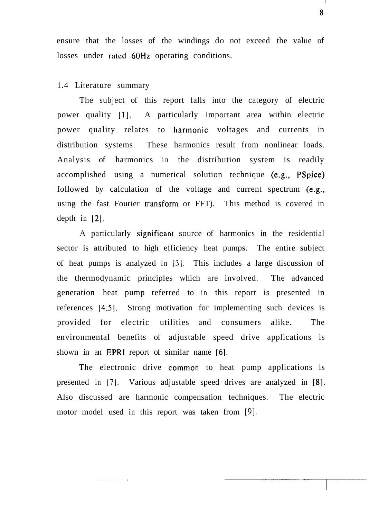ensure that the losses of the windings do not exceed the value of losses under rated 60Hz operating conditions.

## 1.4 Literature summary

The subject of this report falls into the category of electric power quality [I]. A particularly important area within electric power quality relates to harmonic voltages and currents in distribution systems. These harmonics result from nonlinear loads. Analysis of harmonics in the distribution system is readily accomplished using a numerical solution technique (e.g., PSpice) followed by calculation of the voltage and current spectrum (e.g., using the fast Fourier transform or FFT). This method is covered in depth in  $[2]$ .

A particularly significant source of harmonics in the residential sector is attributed to high efficiency heat pumps. The entire subject of heat pumps is analyzed in 131. This includes a large discussion of the thermodynamic principles which are involved. The advanced generation heat pump referred to in this report is presented in references **14,51.** Strong motivation for implementing such devices is provided for electric utilities and consumers alike. The environmental benefits of adjustable speed drive applications is shown in an EPRl report of similar name [6].

The electronic drive common to heat pump applications is presented in 171. Various adjustable speed drives are analyzed in [8]. Also discussed are harmonic compensation techniques. The electric motor model used in this report was taken from [9].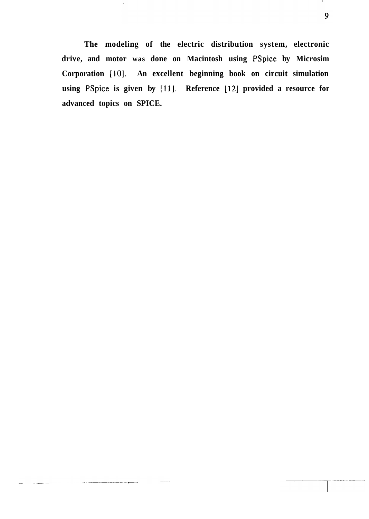**The modeling of the electric distribution system, electronic drive, and motor was done on Macintosh using PSpice: by Microsim Corporation [lo]. An excellent beginning book on circuit simulation using PSpice is given by Ill]. Reference [12] provided a resource for advanced topics on SPICE.** 

Τ.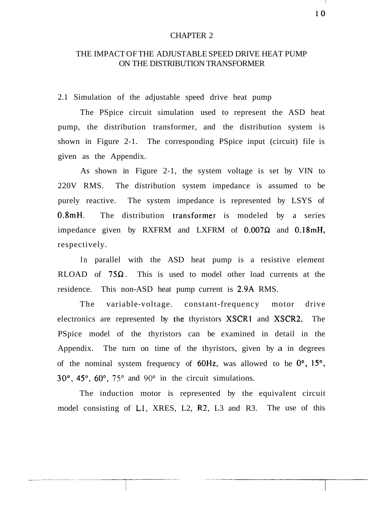#### CHAPTER 2

## THE IMPACT OF THE ADJUSTABLE SPEED DRIVE HEAT PUMP ON THE DISTRIBUTION TRANSFORMER

2.1 Simulation of the adjustable speed drive heat pump

The PSpice circuit simulation used to represent the ASD heat pump, the distribution transformer, and the distribution system is shown in Figure 2-1. The corresponding PSpice input (circuit) file is given as the Appendix.

As shown in Figure 2-1, the system voltage is set by VIN to 220V RMS. The distribution system impedance is assumed to be purely reactive. The system impedance is represented by LSYS of  $0.8$ mH. The distribution transformer is modeled by a series impedance given by RXFRM and LXFRM of  $0.007\Omega$  and  $0.18mH$ , respectively.

In parallel with the ASD heat pump is a resistive element RLOAD of  $75\Omega$ . This is used to model other load currents at the residence. This non-ASD heat pump current is 2.9A RMS.

The variable-voltage. constant-frequency motor drive electronics are represented by the thyristors XSCR1 and XSCR2. The PSpice model of the thyristors can be examined in detail in the Appendix. The turn on time of the thyristors, given by a in degrees of the nominal system frequency of  $60Hz$ , was allowed to be  $0^{\circ}$ ,  $15^{\circ}$ , 30°, 45", 60". **75"** and **90"** in the circuit simulations.

The induction motor is represented by the equivalent circuit model consisting of L1, XRES, L2, R2, L3 and R3. The use of this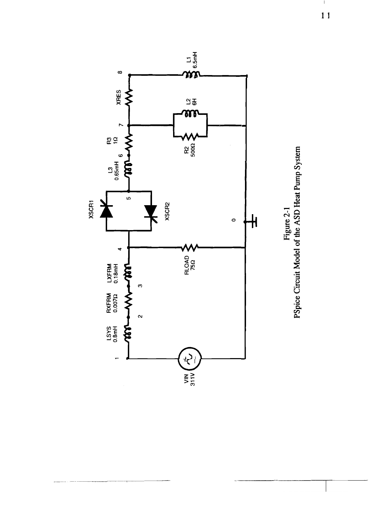



 $\mathbf{I}$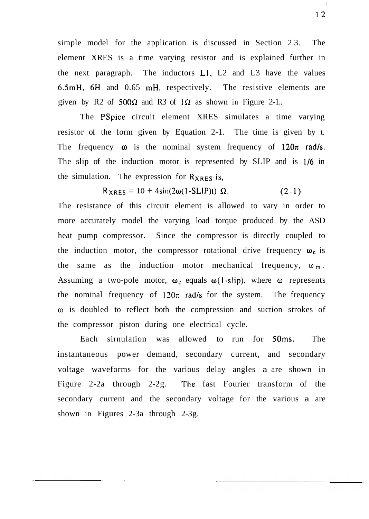simple model for the application is discussed in Section 2.3. The element XRES is a time varying resistor and is explained further in the next paragraph. The inductors L1, L2 and L3 have the values 6.5mH, 6H and 0.65 mH, respectively. The resistive elements are given by R2 of  $500\Omega$  and R3 of  $1\Omega$  as shown in Figure 2-1..

The PSpice circuit element XRES simulates a time varying resistor of the form given by Equation 2-1. The time is given by t. The frequency  $\omega$  is the nominal system frequency of 120 $\pi$  rad/s. The slip of the induction motor is represented by SLIP and is 1/6 in the simulation. The expression for  $R_{XRES}$  is,

 $R_{XRES} = 10 + 4\sin(2\omega(1-SLIP)t)$   $\Omega$ . (2-1)

The resistance of this circuit element is allowed to vary in order to more accurately model the varying load torque produced by the ASD heat pump compressor. Since the compressor is directly coupled to the induction motor, the compressor rotational drive frequency  $\omega_c$  is the same as the induction motor mechanical frequency,  $\omega_m$ . Assuming a two-pole motor,  $\omega_c$  equals  $\omega(1-slip)$ , where  $\omega$  represents the nominal frequency of  $120\pi$  rad/s for the system. The frequency **o** is doubled to reflect both the compression and suction strokes of the compressor piston during one electrical cycle.

Each sirnulation was allowed to run for 50ms. The instantaneous power demand, secondary current, and secondary voltage waveforms for the various delay angles a are shown in Figure 2-2a through 2-2g. The fast Fourier transform of the secondary current and the secondary voltage for the various a are shown in Figures 2-3a through 2-3g.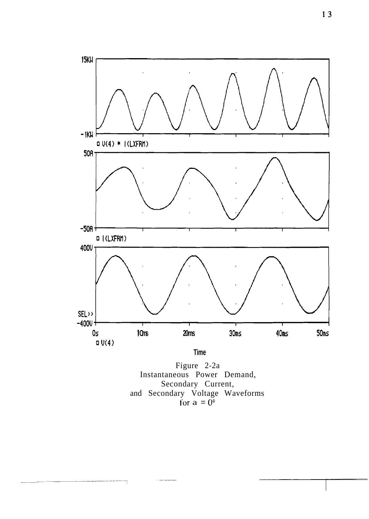

**Time** 

Figure 2-2a<br>Instantaneous Power Demand, Secondary Current, and Secondary Voltage Waveforms<br>for  $a = 0^{\circ}$ 

 $\overline{\mathcal{X}}$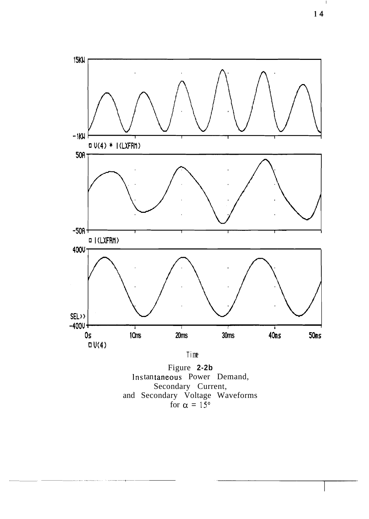

Figure 2-2b Instantaneous Power Demand, Secondary Current,<br>and Secondary Voltage Waveforms<br>for  $\alpha = 15^{\circ}$ 

 $\perp$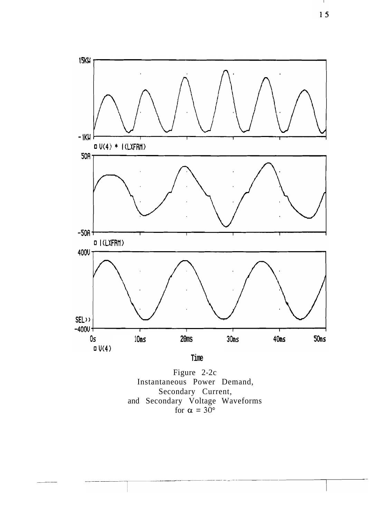

Figure 2-2c Instantaneous Power Demand, Secondary Current,<br>and Secondary Voltage Waveforms<br>for  $\alpha = 30^{\circ}$ 

л.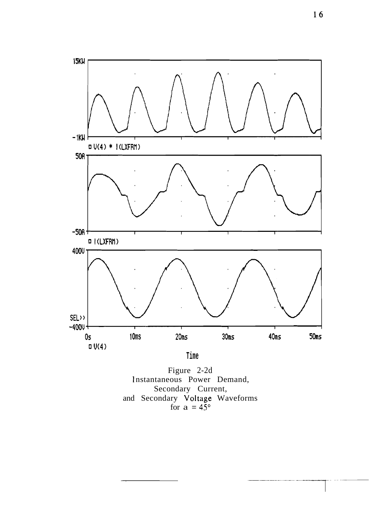

Time

Figure 2-2d<br>Instantaneous Power Demand, Secondary Current,<br>and Secondary Voltage Waveforms<br>for  $a = 45^{\circ}$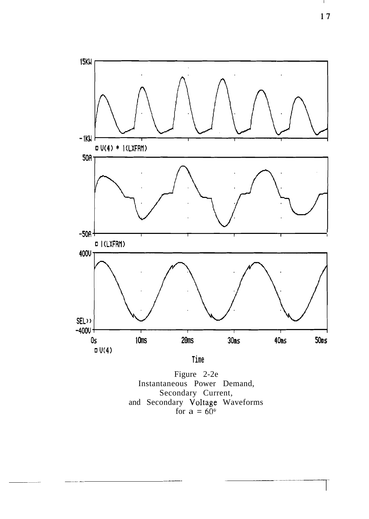

Figure 2-2e Instantaneous Power Demand, Secondary Current,<br>and Secondary Voltage Waveforms<br>for  $a = 60^\circ$ 

 $17$ 

 $\mathbf{I}$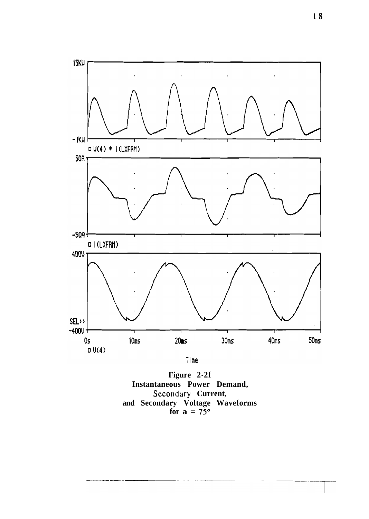

Figure 2-2f Instantaneous Power Demand, Secondary Current,<br>and Secondary Voltage Waveforms<br>for  $a = 75^{\circ}$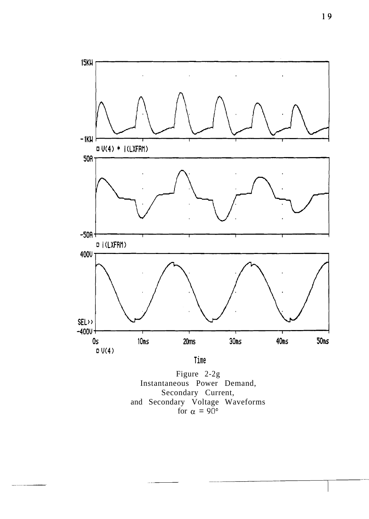

Time

Figure 2-2g Instantaneous Power Demand, Secondary Current, and Secondary Voltage Waveforms<br>for  $\alpha = 90^{\circ}$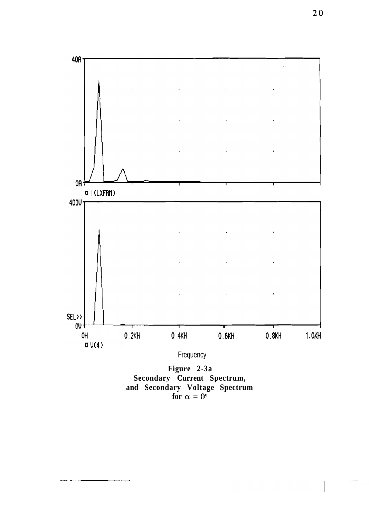

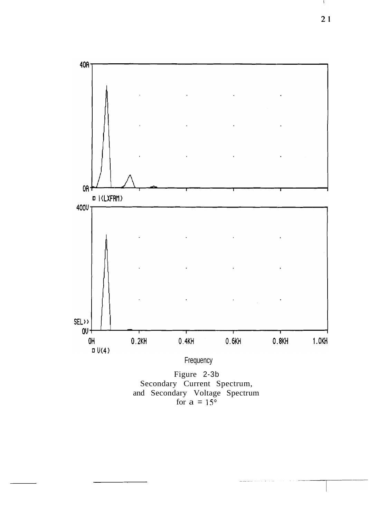

Secondary Current Spectrum, and Secondary Voltage Spectrum for  $a = 15^{\circ}$ 

 $21$ 

Л.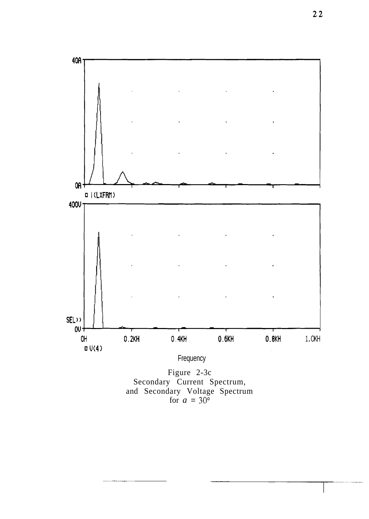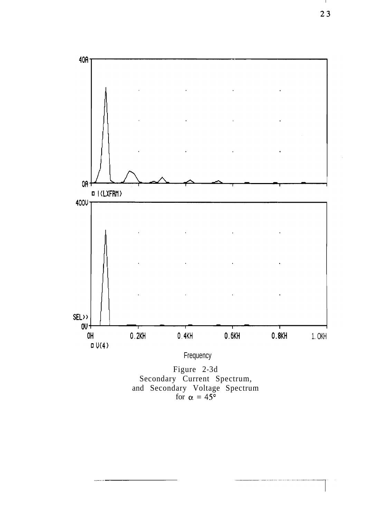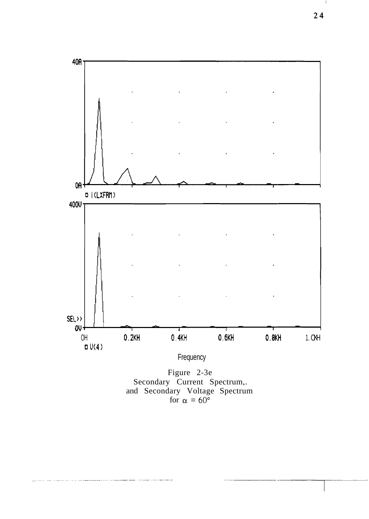

 $\mathbf{I}$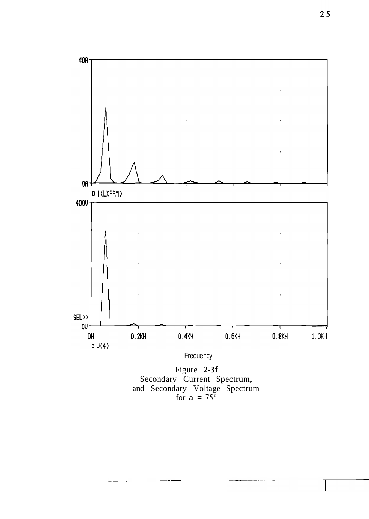

Figure 2-3f<br>Secondary Current Spectrum,<br>and Secondary Voltage Spectrum<br>for a = 75°

 $\mathbf{I}$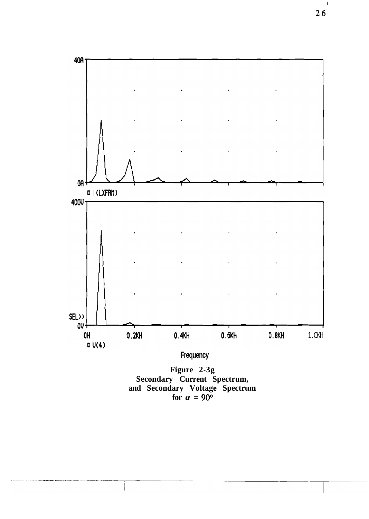

 $\mathsf I$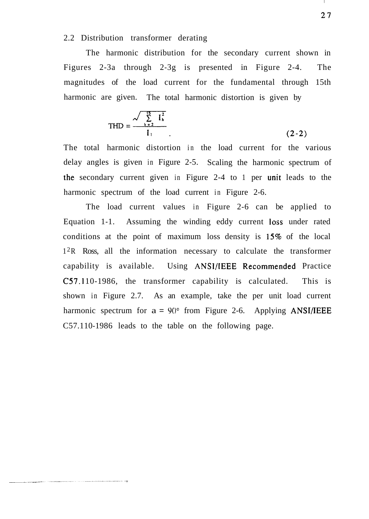## 2.2 Distribution transformer derating

The harmonic distribution for the secondary current shown in Figures 2-3a through 2-3g is presented in Figure 2-4. The magnitudes of the load current for the fundamental through 15th harmonic are given. The total harmonic distortion is given by

$$
THD = \frac{\sqrt{\sum_{h=2}^{15} I_h^2}}{I_1}
$$
 (2-2)

The total harmonic distortion in the load current for the various delay angles is given in Figure 2-5. Scaling the harmonic spectrum of the secondary current given in Figure 2-4 to 1 per unit leads to the harmonic spectrum of the load current in Figure 2-6.

The load current values in Figure 2-6 can be applied to Equation 1-1. Assuming the winding eddy current loss under rated conditions at the point of maximum loss density is 15% of the local 12R Ross, all the information necessary to calculate the transformer capability is available. Using ANSI/IEEE Recommemded Practice C57.1 10- 1986, the transformer capability is calculated. This is shown in Figure 2.7. As an example, take the per unit load current harmonic spectrum for  $a = 90^{\circ}$  from Figure 2-6. Applying ANSI/IEEE C57.110-1986 leads to the table on the following page.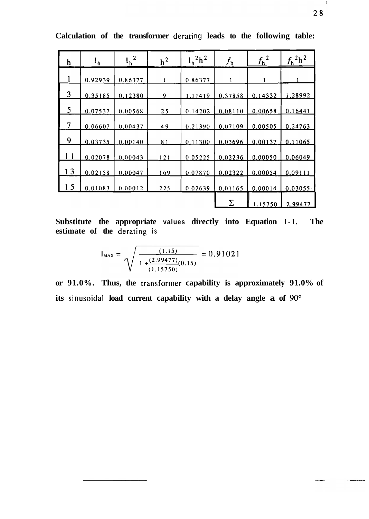| h  | $\mathbf{1}_{\underline{\mathbf{h}}}$ | $I_h^2$ | $h^2$ | $l_h^2$ h <sup>2</sup> | $f_{\sf h}$ | $f_h^2$ | $f_h^2$ <sup>2</sup> h <sup>2</sup> |
|----|---------------------------------------|---------|-------|------------------------|-------------|---------|-------------------------------------|
|    | 0.92939                               | 0.86377 |       | 0.86377                |             |         |                                     |
| 3  | 0.35185                               | 0.12380 | 9     | 1.11419                | 0.37858     | 0.14332 | i.28992                             |
| 5  | 0.07537                               | 0.00568 | 25    | 0.14202                | 0.08110     | 0.00658 | 0.16441                             |
| 7  | 0.06607                               | 0.00437 | 49    | 0.21390                | 0.07109     | 0.00505 | 0.24763                             |
| 9  | 0.03735                               | 0.00140 | 81    | 0.11300                | 0.03696     | 0.00137 | 0.11065                             |
| 11 | 0.02078                               | 0.00043 | 121   | 0.05225                | 0.02236     | 0.00050 | 0.06049                             |
| 13 | 0.02158                               | 0.00047 | 169   | 0.07870                | 0.02322     | 0.00054 | 0.09111                             |
| 5  | 0.01083                               | 0.00012 | 225   | 0.02639                | 0.01165     | 0.00014 | 0.03055                             |
|    |                                       |         |       |                        | Σ           | 1.15750 | 2.99477                             |

Calculation of the transformer derating leads to the following table:

**Substitute the appropriate values directly into Equation 1 - 1. The estimate of the derating** is

$$
l_{\text{max}} = \sqrt{\frac{(1.15)}{1 + \frac{(2.99477)}{(1.15750)}}} = 0.91021
$$

or 91.0%. Thus, the transformer capability is approximately 91.0% of its sinusoidal load current capability with a delay angle a of 90°

 $\boldsymbol{1}$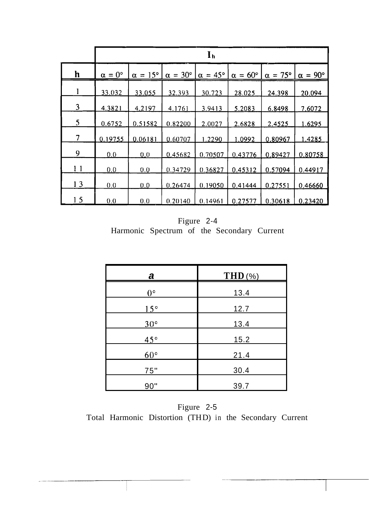|                          | $\mathbf{I}_{\mathbf{h}}$ |                       |                       |                       |                       |                       |                       |
|--------------------------|---------------------------|-----------------------|-----------------------|-----------------------|-----------------------|-----------------------|-----------------------|
| h                        | $\alpha = 0^{\circ}$      | $\alpha = 15^{\circ}$ | $\alpha = 30^{\circ}$ | $\alpha = 45^{\circ}$ | $\alpha = 60^{\circ}$ | $\alpha = 75^{\circ}$ | $\alpha = 90^{\circ}$ |
| 1                        | 33.032                    | 33.055                | 32.393                | 30.723                | 28.025                | 24.398                | 20.094                |
| 3                        | 4.3821                    | 4.2197                | <u>4.1761</u>         | 3.9413                | 5.2083                | 6.8498                | 7,6072                |
| 5                        | 0.6752                    | 0.51582               | 0.82200               | 2.0027                | 2.6828                | 2.4525                | 1.6295                |
| $\overline{\mathcal{L}}$ | 0.19755                   | 0.06181               | 0.60707               | 1.2290                | 1.0992                | 0.80967               | 1,4285                |
| 9                        | 0.0                       | 0.0                   | 0.45682               | 0.70507               | 0.43776               | 0.89427               | 0.80758               |
| 11                       | 0.0                       | 0.0                   | 0.34729               | 0.36827               | 0.45312               | 0.57094               | 0.44917               |
| 13                       | 0.0                       | 0.0                   | 0.26474               | 0.19050               | 0.41444               | 0.27551               | 0.46660               |
| 15                       | 0.0                       | 0.0                   | 0.20140               | 0.14961               | 0.27577               | 0.30618               | 0.23420               |

Figure 2-4 Harmonic Spectrum of the Secondary Current

| а            | $THD(\% )$  |
|--------------|-------------|
| $0^{\circ}$  | 13.4        |
| $15^\circ$   | 12.7        |
| $30^{\circ}$ | <u>13.4</u> |
| $45^\circ$   | 15.2        |
| $60^{\circ}$ | 21.4        |
| 75"          | 30.4        |
| 90"          | 39.7        |

Figure 2-5 Total Harmonic Distortion (THD) in the Secondary Current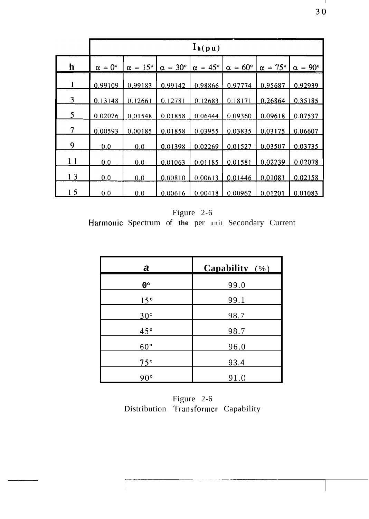|                | $l_h(pu)$            |         |                                                                       |         |                       |                       |                       |
|----------------|----------------------|---------|-----------------------------------------------------------------------|---------|-----------------------|-----------------------|-----------------------|
| h              | $\alpha = 0^{\circ}$ |         | $\alpha = 15^{\circ}$   $\alpha = 30^{\circ}$   $\alpha = 45^{\circ}$ |         | $\alpha = 60^{\circ}$ | $\alpha = 75^{\circ}$ | $\alpha = 90^{\circ}$ |
|                | 0.99109              | 0.99183 | 0.99142                                                               | 0.98866 | 0.97774               | 0.95687               | 0.92939               |
| $\overline{3}$ | 0.13148              | 0.12661 | 0.12781                                                               | 0.12683 | 0.18171               | 0.26864               | 0.35185               |
| 5              | 0.02026              | 0.01548 | 0.01858                                                               | 0.06444 | 0.09360               | 0.09618               | 0.07537               |
| 7              | 0.00593              | 0.00185 | 0.01858                                                               | 0.03955 | 0.03835               | 0.03175               | 0.06607               |
| 9              | 0.0                  | 0.0     | 0.01398                                                               | 0.02269 | 0.01527               | 0.03507               | 0.03735               |
| 1 <sub>1</sub> | 0.0                  | 0.0     | 0.01063                                                               | 0.01185 | 0.01581               | 0.02239               | 0.02078               |
| 13             | 0,0                  | 0.0     | 0.00810                                                               | 0.00613 | 0.01446               | 0.01081               | 0.02158               |
| 15             | 0.0                  | 0.0     | 0.00616                                                               | 0.00418 | 0.00962               | 0.01201               | 0.01083               |

Figure 2-6 Harmonic Spectrum of the per unit Secondary Current

| а            | Capability (%) |
|--------------|----------------|
| $0^{\circ}$  | <u>99.0</u>    |
| 15°          | 99.1           |
| $30^\circ$   | 98.7           |
| $45^{\circ}$ | 98.7           |
| 60"          | 96.0           |
| $75^\circ$   | 93.4           |
| $90^{\circ}$ | 91.0           |

Figure 2-6 Distribution Transformer Capability

 $\mathbf{I}$  $30$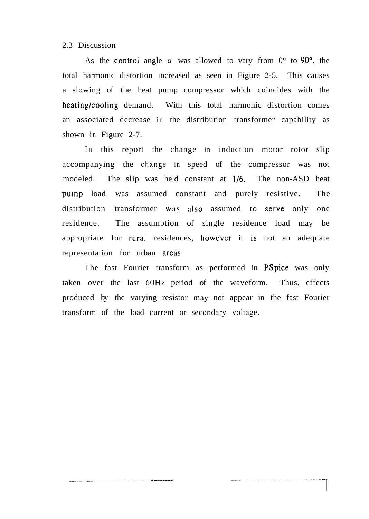2.3 Discussion

As the control angle *a* was allowed to vary from  $0^{\circ}$  to 90<sup>°</sup>, the total harmonic distortion increased as seen in Figure 2-5. This causes a slowing of the heat pump compressor which coincides with the heating/cooling demand. With this total harmonic distortion comes an associated decrease in the distribution transformer capability as shown in Figure 2-7.

In this report the change in induction motor rotor slip accompanying the change in speed of the compressor was not modeled. The slip was held constant at 1/6. The non-ASD heat pump load was assumed constant and purely resistive. The distribution transformer was also assumed to serve only one residence. The assumption of single residence load may be appropriate for rural residences, however it is not an adequate representation for urban areas.

The fast Fourier transform as performed in PSpice was only taken over the last 60Hz period of the waveform. Thus, effects produced by the varying resistor may not appear in the fast Fourier transform of the load current or secondary voltage.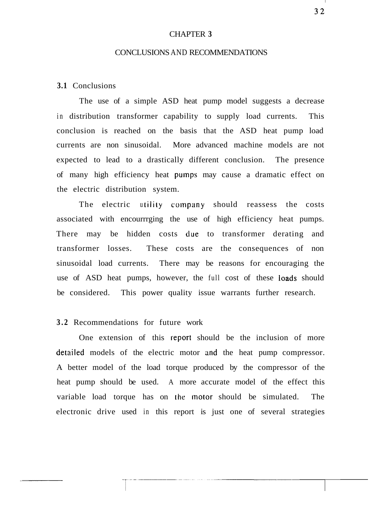#### CHAPTER **3**

#### CONCLUSIONS AND RECOMMENDATIONS

## **3.1** Conclusions

The use of a simple ASD heat pump model suggests a decrease in distribution transformer capability to supply load currents. This conclusion is reached on the basis that the ASD heat pump load currents are non sinusoidal. More advanced machine models are not expected to lead to a drastically different conclusion. The presence of many high efficiency heat pumps may cause a dramatic effect on the electric distribution system.

The electric utility company should reassess the costs associated with encourrrging the use of high efficiency heat pumps. There may be hidden costs due to transformer derating and transformer losses. These costs are the consequences of non sinusoidal load currents. There may be reasons for encouraging the use of ASD heat pumps, however, the full cost of these loads should be considered. This power quality issue warrants further research.

## **3.2** Recommendations for future work

One extension of this report should be the inclusion of more detailed models of the electric motor and the heat pump compressor. A better model of the load torque produced by the compressor of the heat pump should be used. A more accurate model of the effect this variable load torque has on the motor should be simulated. The electronic drive used in this report is just one of several strategies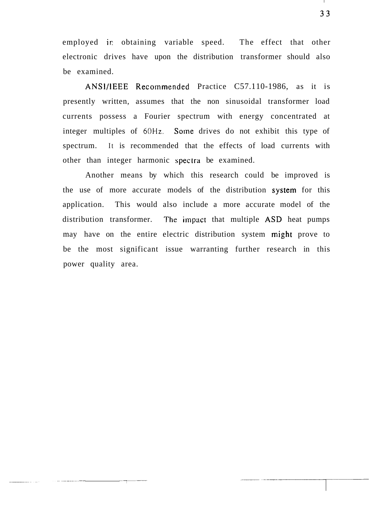employed ir, obtaining variable speed. The effect that other electronic drives have upon the distribution transformer should also be examined.

ANSI/IEEE Recommended Practice C57.110-1986, as it is presently written, assumes that the non sinusoidal transformer load currents possess a Fourier spectrum with energy concentrated at integer multiples of **60Hz.** Some drives do not exhibit this type of spectrum. It is recommended that the effects of load currents with other than integer harmonic spectra be examined.

Another means by which this research could be improved is the use of more accurate models of the distribution system for this application. This would also include a more accurate model of the distribution transformer. 'The impact that multiple ASD heat pumps may have on the entire electric distribution system might prove to be the most significant issue warranting further research in this power quality area.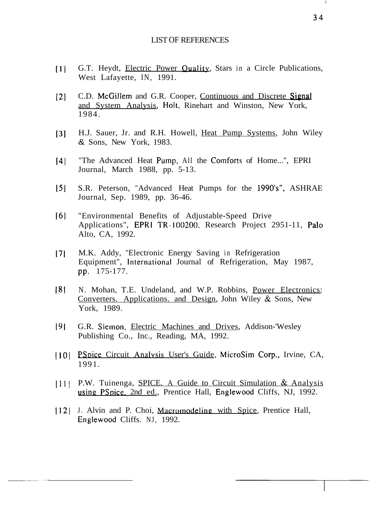#### LIST OF REFERENCES

- [1] G.T. Heydt, *Electric Power Quality*, Stars in a Circle Publications, West Lafayette, IN, 1991.
- [2] C.D. McGillem and G.R. Cooper, Continuous and Discrete Signal and System Analysis, Holt, Rinehart and Winston, New York, 1984.
- **[3]** H.J. Sauer, Jr. and R.H. Howell, Heat Pump Systems, John Wiley & Sons, New York, 1983.
- [4] "The Advanced Heat Pump, All the Comforts of Home...", EPRI Journal, March 1988, pp. 5-13.
- 151 S.R. Peterson, "Advanced Heat Pumps for the 1990's", ASHRAE Journal, Sep. 1989, pp. 36-46.
- 161 "Environmental Benefits of Adjustable-Speed Drive Applications", EPRl TR-100200, Research Project 2951-11, Palo Alto, CA, 1992.
- 17 M.K. Addy, "Electronic Energy Saving in Refrigeration Equipment", International Journal of Refrigeration, May 1987, pp. 175-177.
- 181 N. Mohan, T.E. Undeland, and W.P. Robbins, Power Electronics: Converters. Applications. and Design, John Wiley & Sons, New York, 1989.
- 191 G.R. Slemon, Electric Machines and Drives, Addison-'Wesley Publishing Co., Inc., Reading, MA, 1992.
- [10] PSpice Circuit Analysis User's Guide, MicroSim Corp., Irvine, CA, 1991.
- [11] P.W. Tuinenga, SPICE. A Guide to Circuit Simulation & Analysis using PSpice, 2nd ed., Prentice Hall, Englewood Cliffs, NJ, 1992.
- 1121 J. Alvin and P. Choi, Macromodeling with Spice, Prentice Hall, Englewood Cliffs. NJ, 1992.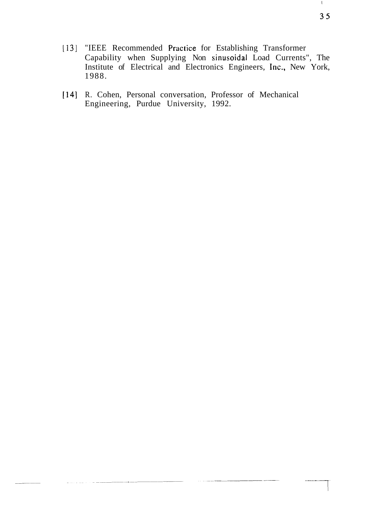- 11 **31** "IEEE Recommended Practice for Establishing Transformer Capability when Supplying Non sinusoidal Load Currents", The Institute of Electrical and Electronics Engineers, Inc., New York, 1988.
- [14] R. Cohen, Personal conversation, Professor of Mechanical Engineering, Purdue University, 1992.

 $\mathbb{F}_2$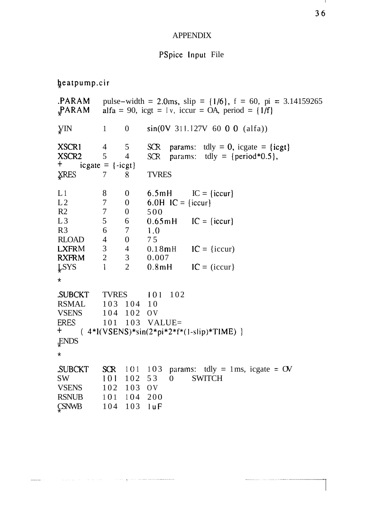## **APPENDIX**

### PSpice Input File

heatpump.cir

pulse-width = 2.0ms, slip =  $\{1/6\}$ , f = 60, pi = 3.14159265 .PARAM **PARAM** alfa = 90, icgt =  $\lceil v \rceil$ , iccur = OA, period =  $\lceil 1/f \rceil$  $\mathbf{0}$  $sin(0V)$  311.127V 60 0 0 (alfa)) УM  $\mathbf{1}$ XSCR1  $\overline{4}$ 5  $SCR$ params: tdly = 0, icgate =  $\{i$ cgt $\}$ XSCR<sub>2</sub>  $5\overline{)}$  $\overline{4}$ SCR params: tdly = {period\*0.5},  $+$  $icgate = \{-icgt\}$ **XRES**  $\tau$ **TVRES** 8  $L1$  $IC = \{iccur\}$ 8  $\mathbf{0}$  $6.5mH$  $\overline{7}$  $L<sub>2</sub>$  $\mathbf{0}$ 6.0H  $IC = \{iccur\}$  $\overline{7}$  $\overline{0}$ 500  $R<sub>2</sub>$  $L3$ 5  $0.65mH$  $IC = \{iccur\}$ 6  $R<sub>3</sub>$ 6  $\overline{7}$  $1.0$  $\overline{4}$  $\boldsymbol{0}$ 75 **RLOAD LXFRM**  $\mathfrak{Z}$  $0.18mH$  $\overline{4}$  $IC = \{iccur\}$  $\overline{2}$  $\mathfrak{Z}$ 0.007 **RXFRM**  $\overline{2}$  $0.8<sub>m</sub>H$  $IC = (iccur)$ **LSYS**  $\mathbf{1}$  $\star$ **SUBCKT TVRES** 101 102 **RSMAL** 103 104 10 **VSENS** 104 102  $O<sub>V</sub>$ **ERES** 101 103 VALUE=  $+$  $(4*I(VSENS)*sin(2*pi*2*f*(1-slip)*TIME) )$ **ENDS**  $\star$ 103 params: tdly = 1ms, icgate =  $\sigma$ **SUBCKT**  $SCR$  101 101 102 53 **SWITCH SW**  $\overline{0}$ **VSENS** 102 103 OV **RSNUB**  $101$ 104 200 104 103 luF **CSNWB**